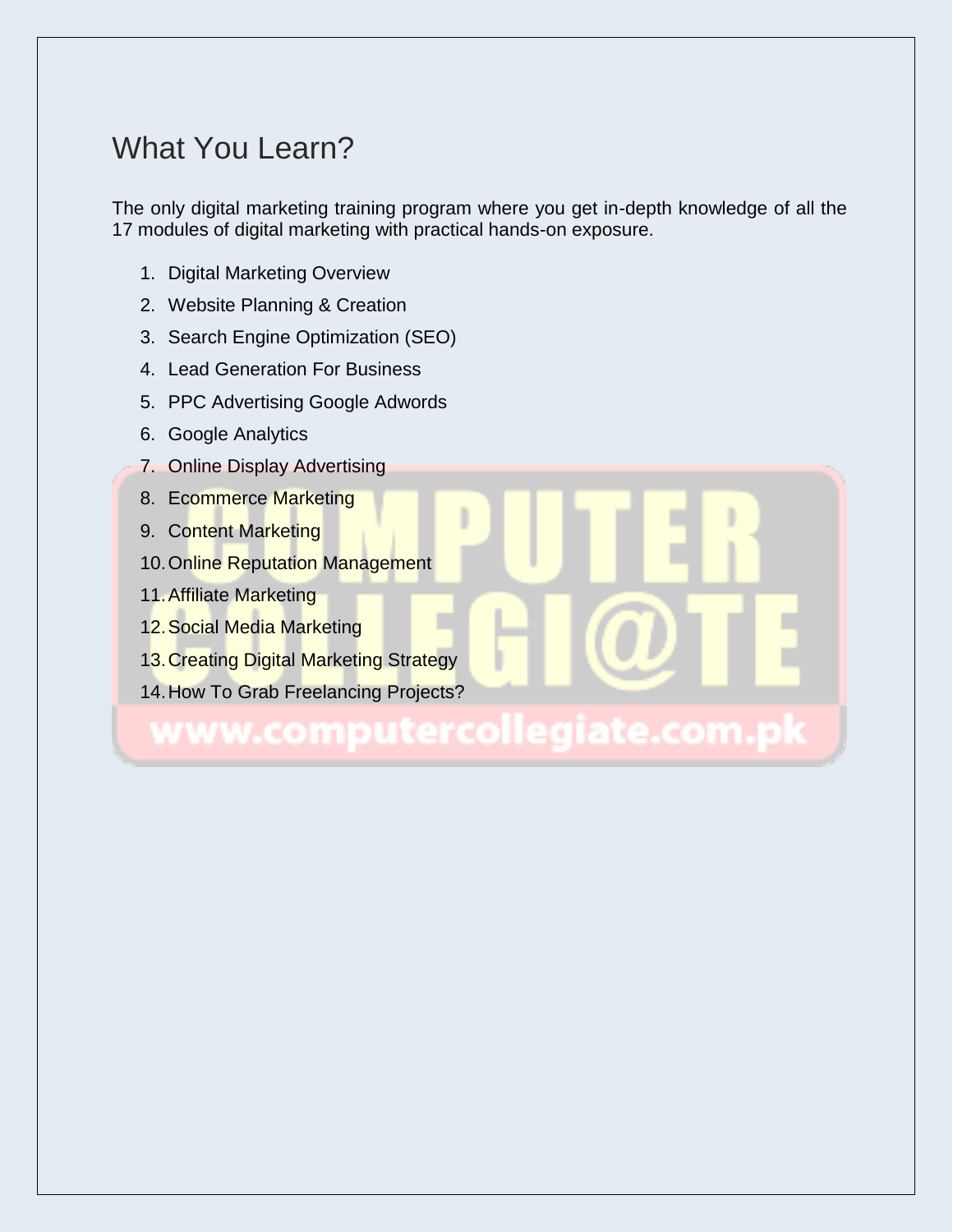# What You Learn?

The only digital marketing training program where you get in-depth knowledge of all the 17 modules of digital marketing with practical hands-on exposure.

- 1. Digital Marketing Overview
- 2. Website Planning & Creation
- 3. Search Engine Optimization (SEO)
- 4. Lead Generation For Business
- 5. PPC Advertising Google Adwords
- 6. Google Analytics
- 7. Online Display Advertising
- 8. Ecommerce Marketing
- 9. Content Marketing
- 10.Online Reputation Management
- 11.Affiliate Marketing
- 12.Social Media Marketing
- 13.Creating Digital Marketing Strategy
- 14.How To Grab Freelancing Projects?

#### putercollegiate.com ww.com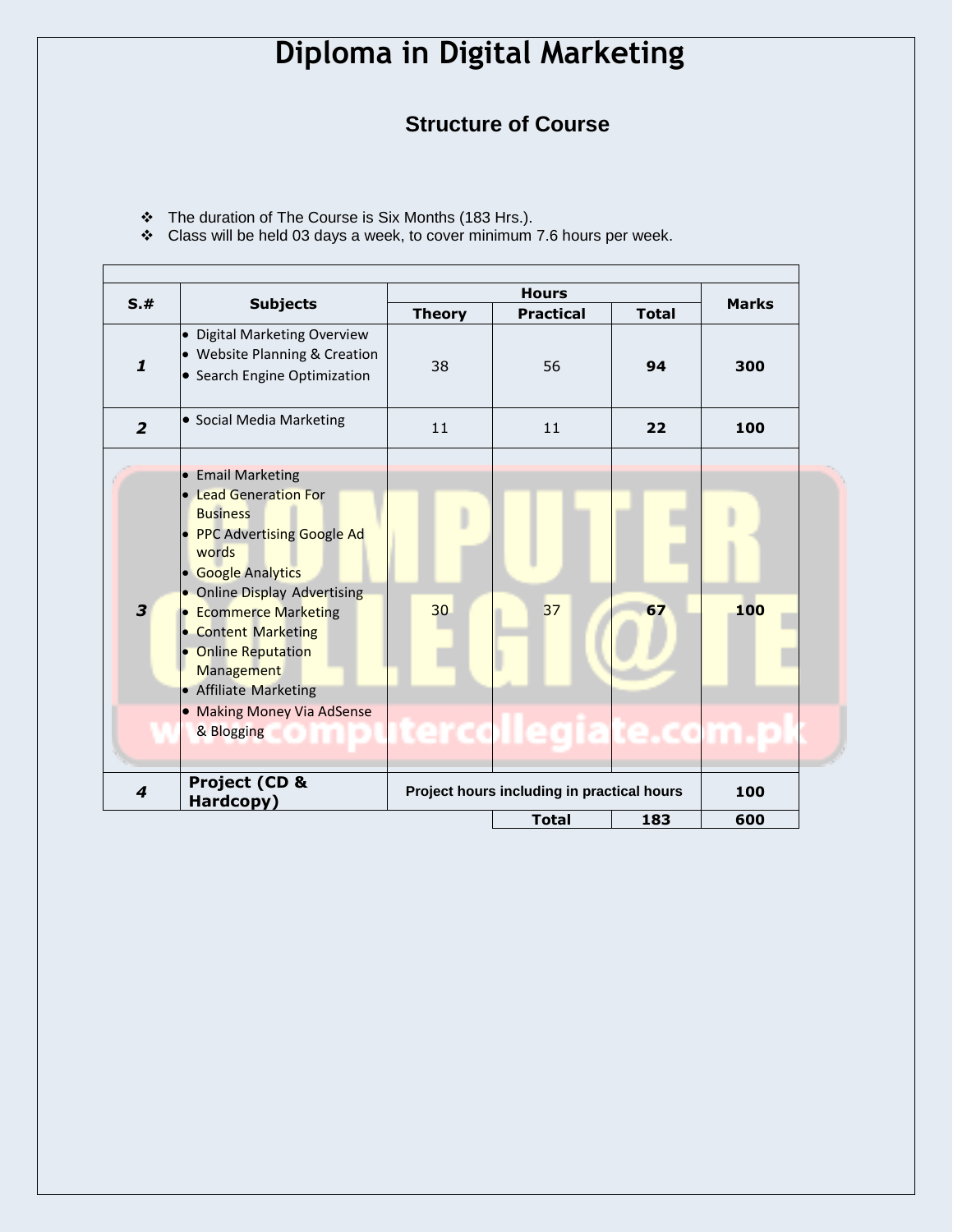#### **Structure of Course**

- The duration of The Course is Six Months (183 Hrs.).
- $\cdot$  Class will be held 03 days a week, to cover minimum 7.6 hours per week.

| S.#            | <b>Subjects</b>                                | <b>Hours</b>                               |                     |              |              |
|----------------|------------------------------------------------|--------------------------------------------|---------------------|--------------|--------------|
|                |                                                | <b>Theory</b>                              | <b>Practical</b>    | <b>Total</b> | <b>Marks</b> |
|                | <b>Digital Marketing Overview</b><br>$\bullet$ |                                            |                     |              |              |
| 1              | • Website Planning & Creation                  |                                            |                     |              |              |
|                | • Search Engine Optimization                   | 38                                         | 56                  | 94           | 300          |
| $\overline{2}$ | • Social Media Marketing                       | 11                                         | 11                  | 22           | 100          |
|                | <b>Email Marketing</b>                         |                                            |                     |              |              |
|                | • Lead Generation For                          |                                            |                     |              |              |
|                | <b>Business</b>                                |                                            |                     |              |              |
|                | <b>PPC Advertising Google Ad</b>               |                                            |                     |              |              |
|                | words                                          |                                            |                     |              |              |
|                | <b>Google Analytics</b><br>$\bullet$           |                                            |                     |              |              |
|                | • Online Display Advertising                   |                                            |                     |              |              |
| 3              | <b>Ecommerce Marketing</b>                     | 30                                         | 37                  | 67           | 100          |
|                | <b>Content Marketing</b>                       |                                            |                     |              |              |
|                | <b>Online Reputation</b>                       |                                            |                     |              |              |
|                | Management                                     |                                            |                     |              |              |
|                | <b>Affiliate Marketing</b><br>$\bullet$        |                                            |                     |              |              |
|                | <b>Making Money Via AdSense</b>                |                                            |                     |              |              |
|                | & Blogging                                     |                                            | tercollegiate.com.p |              |              |
| 4              | Project (CD &<br>Hardcopy)                     | Project hours including in practical hours |                     |              | 100          |
|                |                                                |                                            | <b>Total</b>        | 183          | 600          |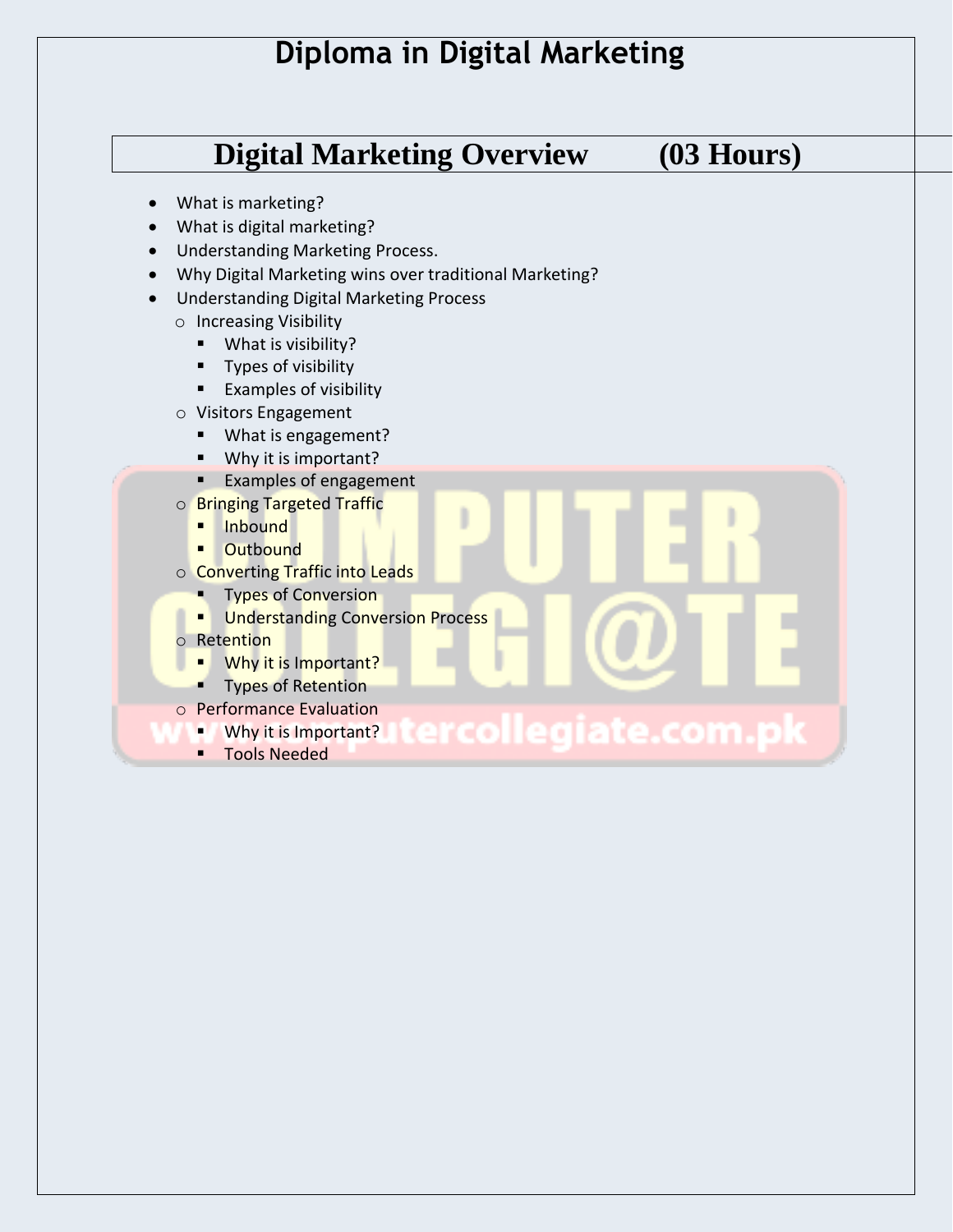**Digital Marketing Overview (03 Hours)** 

- What is marketing?
- What is digital marketing?
- Understanding Marketing Process.
- Why Digital Marketing wins over traditional Marketing?
- Understanding Digital Marketing Process
	- o Increasing Visibility
		- What is visibility?
		- **Types of visibility**
		- **Examples of visibility**
	- o Visitors Engagement
		- **What is engagement?**
		- Why it is important?
		- **Examples of engagement**
	- o Bringing Targeted Traffic
		- **Inbound**
		- **-** Outbound
	- o Converting Traffic into Leads
		- **Types of Conversion**
		- **Understanding Conversion Process**
	- o Retention
		- **UDITY** Why it is Important?
		- **Types of Retention**
	- o Performance Evaluation
		- collegiate.com.p Why it is Important?
		- **Tools Needed**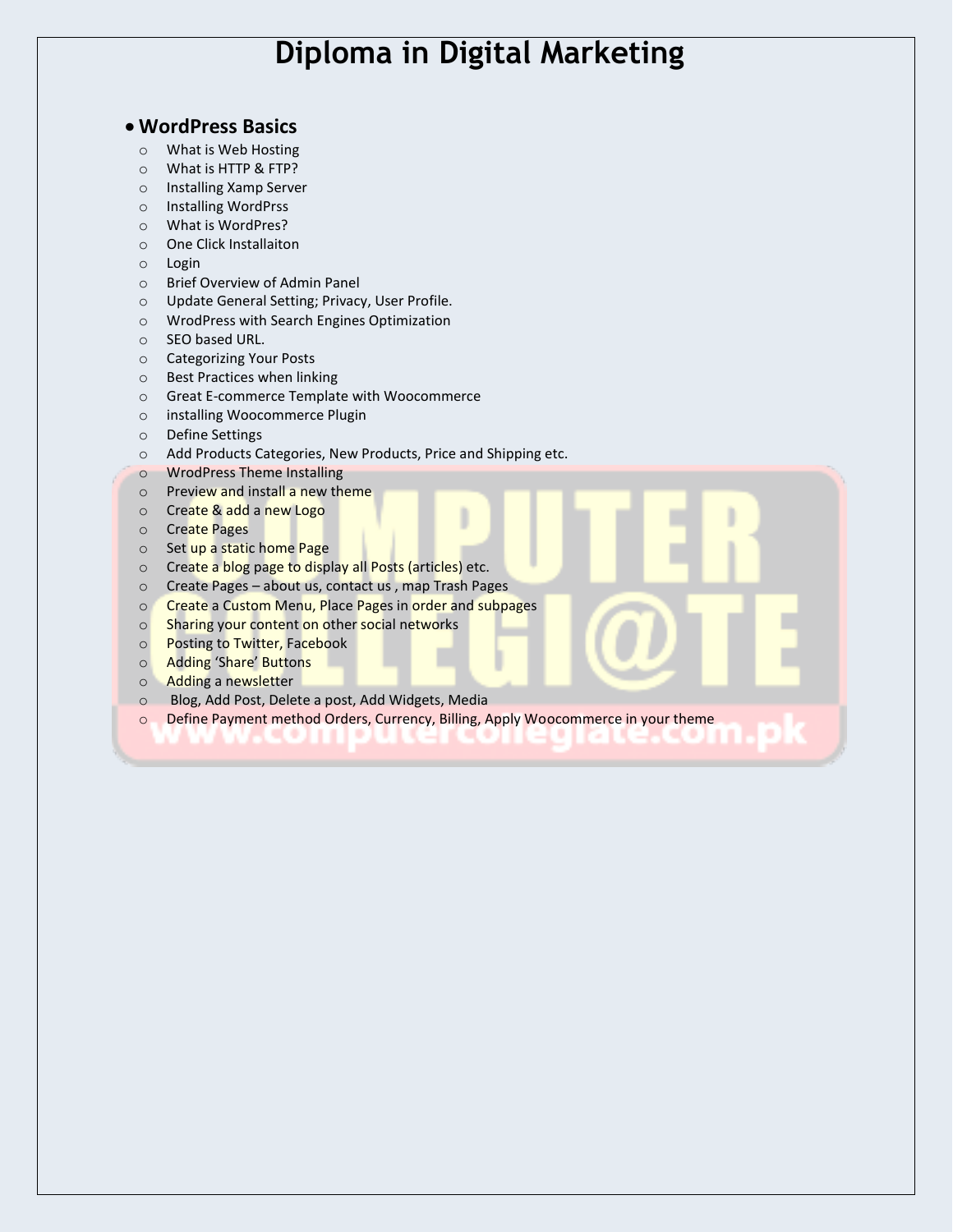#### **WordPress Basics**

- o What is Web Hosting
- o What is HTTP & FTP?
- o Installing Xamp Server
- o Installing WordPrss
- o What is WordPres?
- o One Click Installaiton
- o Login
- o Brief Overview of Admin Panel
- o Update General Setting; Privacy, User Profile.
- o WrodPress with Search Engines Optimization
- o SEO based URL.
- o Categorizing Your Posts
- o Best Practices when linking
- o Great E-commerce Template with Woocommerce
- o installing Woocommerce Plugin
- o Define Settings
- o Add Products Categories, New Products, Price and Shipping etc.
- o WrodPress Theme Installing
- o Preview and install a new theme
- o Create & add a new Logo
- o Create Pages
- o Set up a static home Page
- o Create a blog page to display all Posts (articles) etc.
- o Create Pages about us, contact us , map Trash Pages
- o Create a Custom Menu, Place Pages in order and subpages
- o Sharing your content on other social networks
- o Posting to Twitter, Facebook
- o Adding 'Share' Buttons
- o Adding a newsletter
- o Blog, Add Post, Delete a post, Add Widgets, Media
- o Define Payment method Orders, Currency, Billing, Apply Woocommerce in your theme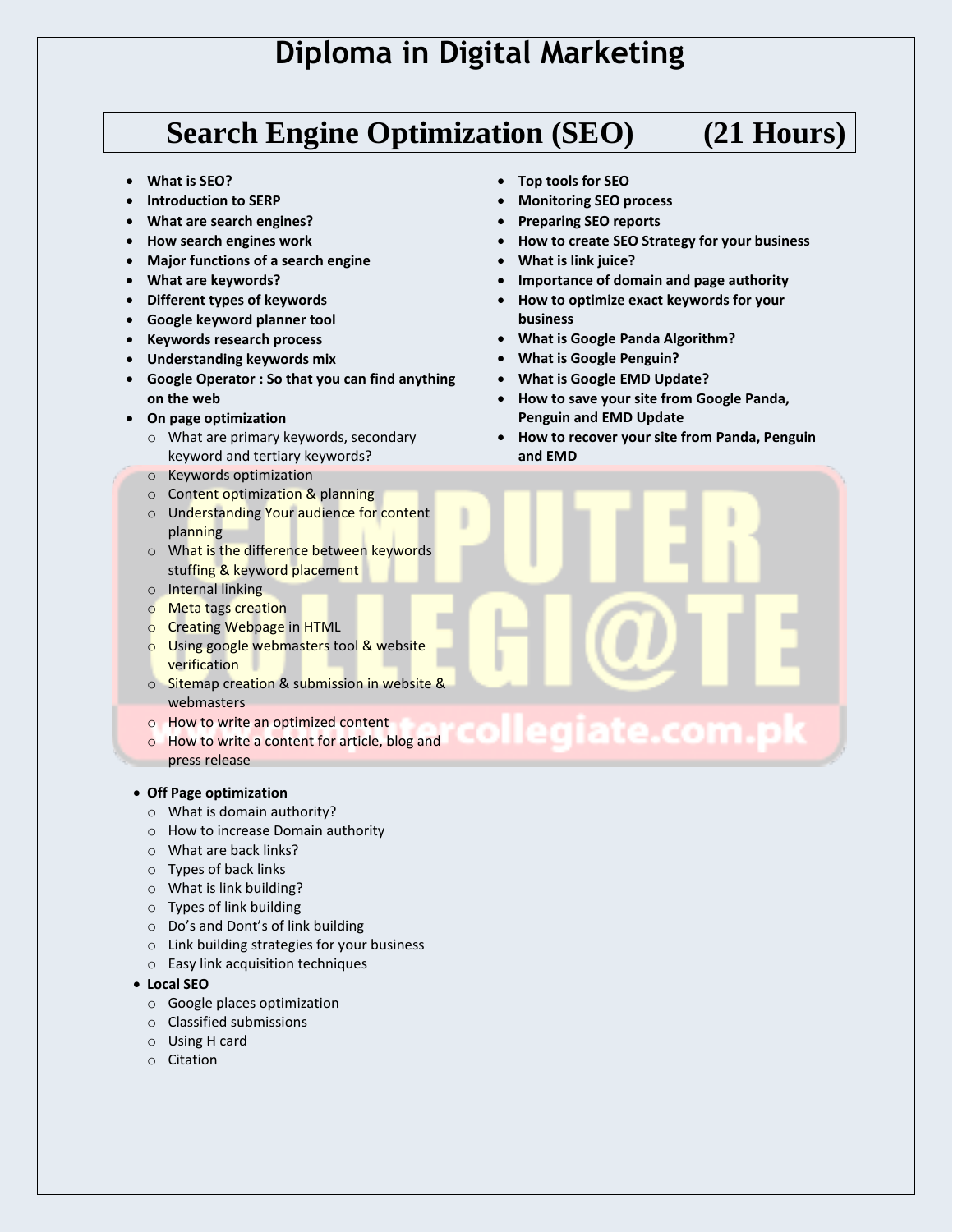## **Search Engine Optimization (SEO) (21 Hours)**

#### **What is SEO?**

- **Introduction to SERP**
- **What are search engines?**
- **How search engines work**
- **Major functions of a search engine**
- **What are keywords?**
- **Different types of keywords**
- **Google keyword planner tool**
- **Keywords research process**
- **Understanding keywords mix**
- **Google Operator : So that you can find anything on the web**
- **On page optimization**
	- o What are primary keywords, secondary keyword and tertiary keywords?
	- o Keywords optimization
	- o Content optimization & planning
	- o Understanding Your audience for content planning
	- o What is the difference between keywords stuffing & keyword placement
	- o Internal linking
	- o Meta tags creation
	- o Creating Webpage in HTML
	- o Using google webmasters tool & website verification
	- o Sitemap creation & submission in website & webmasters
	- o How to write an optimized content
	- diate.co o How to write a content for article, blog and press release

#### **Off Page optimization**

- o What is domain authority?
- o How to increase Domain authority
- o What are back links?
- o Types of back links
- o What is link building?
- o Types of link building
- o Do's and Dont's of link building
- o Link building strategies for your business
- o Easy link acquisition techniques
- **Local SEO**
	- o Google places optimization
	- o Classified submissions
	- o Using H card
	- o Citation
- **Top tools for SEO**
- **Monitoring SEO process**
- **Preparing SEO reports**
- **How to create SEO Strategy for your business**
- **What is link juice?**
- **Importance of domain and page authority**
- **How to optimize exact keywords for your business**
- **What is Google Panda Algorithm?**
- **What is Google Penguin?**
- **What is Google EMD Update?**
- **How to save your site from Google Panda, Penguin and EMD Update**
- **How to recover your site from Panda, Penguin and EMD**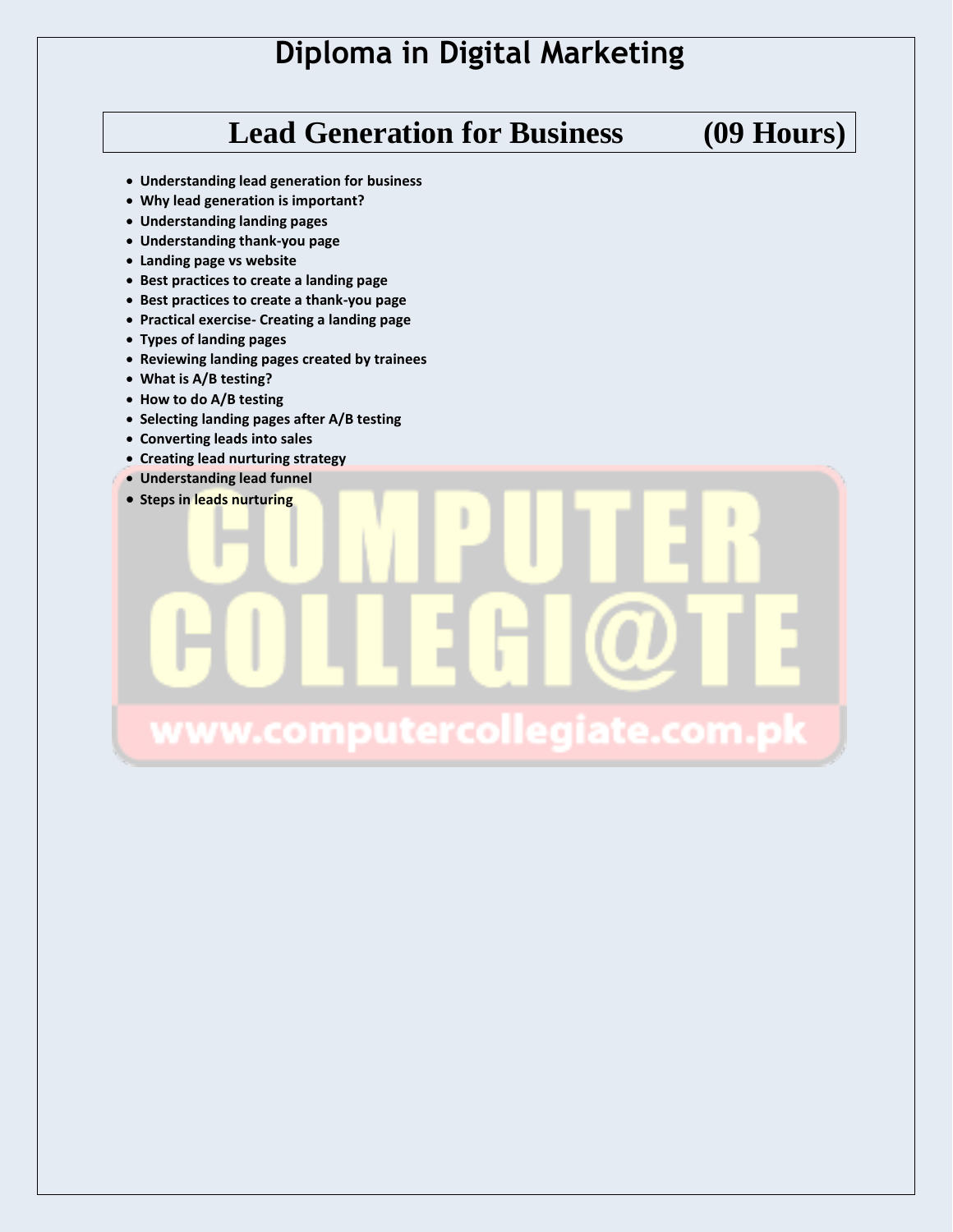# **Lead Generation for Business (09 Hours)**

- **Understanding lead generation for business**
- **Why lead generation is important?**
- **Understanding landing pages**
- **Understanding thank-you page**
- **Landing page vs website**
- **Best practices to create a landing page**
- **Best practices to create a thank-you page**
- **Practical exercise- Creating a landing page**
- **Types of landing pages**
- **Reviewing landing pages created by trainees**
- **What is A/B testing?**
- **How to do A/B testing**
- **Selecting landing pages after A/B testing**
- **Converting leads into sales**
- **Creating lead nurturing strategy**
- **Understanding lead funnel**

**• Steps in leads nurturing** 

# www.computercollegiate.com.pk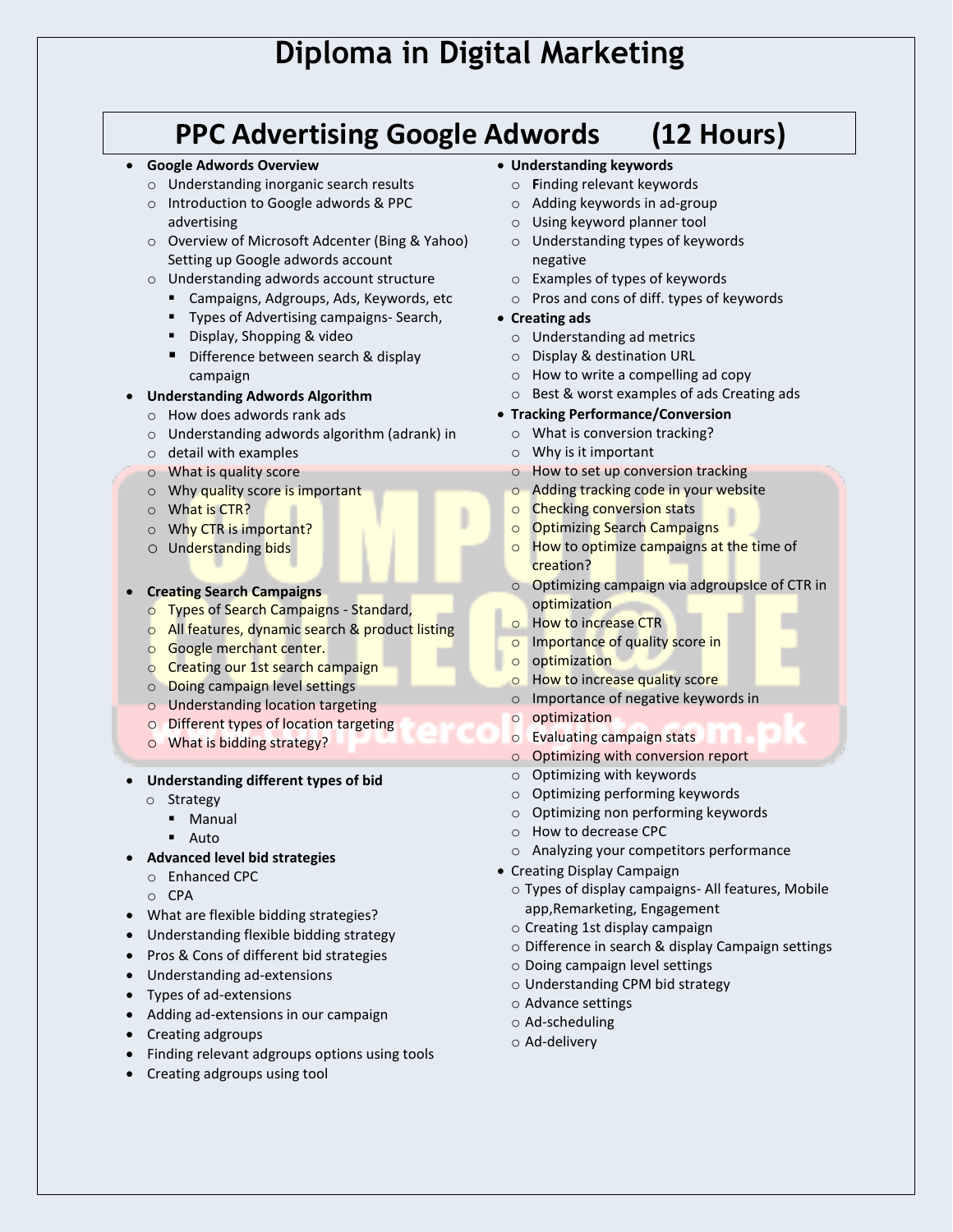## **PPC Advertising Google Adwords (12 Hours)**

#### **Google Adwords Overview**

- o Understanding inorganic search results
- o Introduction to Google adwords & PPC advertising
- o Overview of Microsoft Adcenter (Bing & Yahoo) Setting up Google adwords account
- o Understanding adwords account structure
	- Campaigns, Adgroups, Ads, Keywords, etc
	- **Types of Advertising campaigns- Search,**
	- Display, Shopping & video
	- Difference between search & display campaign

#### **Understanding Adwords Algorithm**

- o How does adwords rank ads
- o Understanding adwords algorithm (adrank) in
- o detail with examples
- o What is quality score
- o Why quality score is important
- o What is CTR?
- o Why CTR is important?
- o Understanding bids

#### **Creating Search Campaigns**

- o Types of Search Campaigns Standard,
- o All features, dynamic search & product listing
- o Google merchant center.
- o Creating our 1st search campaign
- o Doing campaign level settings
- o Understanding location targeting
- o Different types of location targeting
- o What is bidding strategy?
- **Understanding different types of bid**
	- o Strategy
		- Manual
		- **Auto**
- **Advanced level bid strategies**
	- o Enhanced CPC
	- o CPA
- What are flexible bidding strategies?
- Understanding flexible bidding strategy
- Pros & Cons of different bid strategies
- Understanding ad-extensions
- Types of ad-extensions
- Adding ad-extensions in our campaign
- Creating adgroups
- Finding relevant adgroups options using tools
- Creating adgroups using tool
- **Understanding keywords**
	- o **F**inding relevant keywords
	- o Adding keywords in ad-group
	- o Using keyword planner tool
	- o Understanding types of keywords negative
	- o Examples of types of keywords
	- o Pros and cons of diff. types of keywords
- **Creating ads**
	- o Understanding ad metrics
	- o Display & destination URL
	- o How to write a compelling ad copy
	- o Best & worst examples of ads Creating ads
- **Tracking Performance/Conversion**
	- o What is conversion tracking?
	- o Why is it important
	- o How to set up conversion tracking
	- o Adding tracking code in your website
	- o Checking conversion stats
	- o Optimizing Search Campaigns
	- $\circ$  How to optimize campaigns at the time of creation?
	- o Optimizing campaign via adgroupsIce of CTR in optimization
	- o How to increase CTR
	- o Importance of quality score in
	- o optimization
	- o How to increase quality score
	- o Importance of negative keywords in
	- o optimization
	- o Evaluating campaign stats
	- o Optimizing with conversion report
	- o Optimizing with keywords
	- o Optimizing performing keywords
- o Optimizing non performing keywords
- o How to decrease CPC
- o Analyzing your competitors performance
- Creating Display Campaign
	- o Types of display campaigns- All features, Mobile app,Remarketing, Engagement
	- o Creating 1st display campaign
	- o Difference in search & display Campaign settings
	- o Doing campaign level settings
	- o Understanding CPM bid strategy
	- o Advance settings
	- o Ad-scheduling
	- o Ad-delivery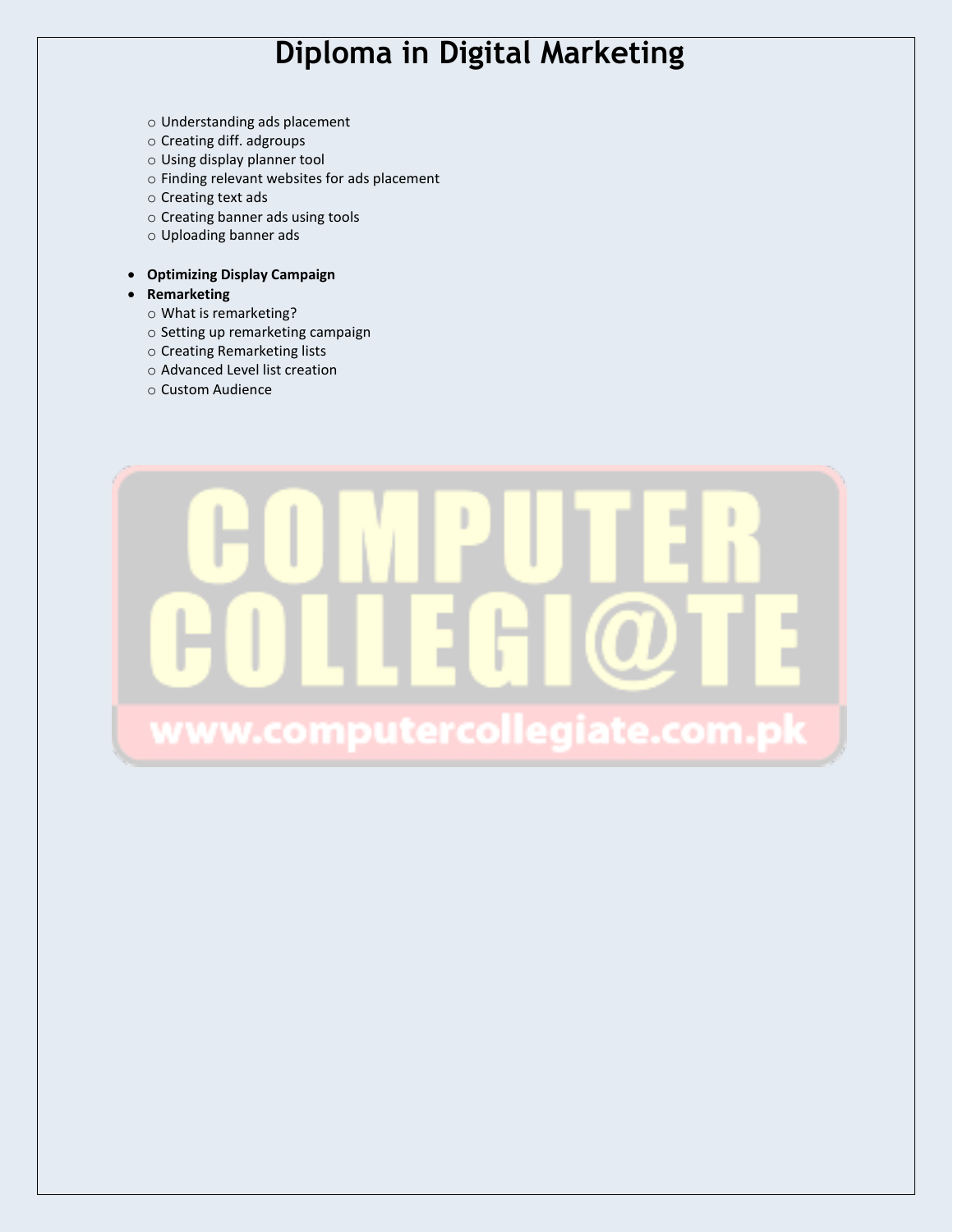- o Understanding ads placement
- o Creating diff. adgroups
- o Using display planner tool
- o Finding relevant websites for ads placement
- o Creating text ads
- o Creating banner ads using tools
- o Uploading banner ads

#### **Optimizing Display Campaign**

- **Remarketing**
	- o What is remarketing?
	- o Setting up remarketing campaign
	- o Creating Remarketing lists
	- o Advanced Level list creation
	- o Custom Audience

# www.computercollegiate.com.pl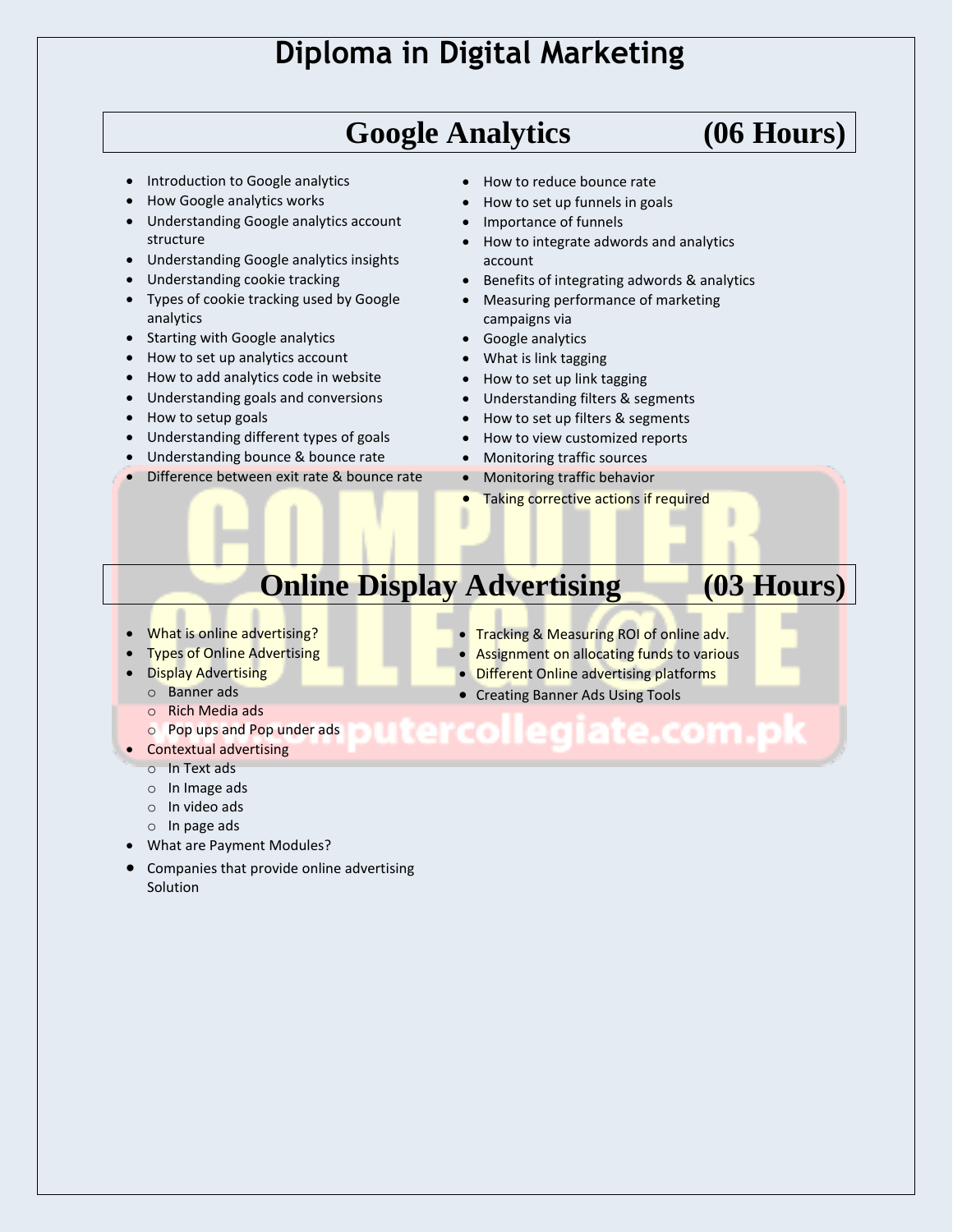# **Google Analytics (06 Hours)**

- Introduction to Google analytics
- How Google analytics works
- Understanding Google analytics account structure
- Understanding Google analytics insights
- Understanding cookie tracking
- Types of cookie tracking used by Google analytics
- Starting with Google analytics
- How to set up analytics account
- How to add analytics code in website
- Understanding goals and conversions
- How to setup goals
- Understanding different types of goals
- Understanding bounce & bounce rate
- Difference between exit rate & bounce rate
- How to reduce bounce rate
- How to set up funnels in goals
- Importance of funnels
- How to integrate adwords and analytics account
- Benefits of integrating adwords & analytics
- Measuring performance of marketing campaigns via
- Google analytics
- What is link tagging
- How to set up link tagging
- Understanding filters & segments
- How to set up filters & segments
- How to view customized reports
- Monitoring traffic sources
- Monitoring traffic behavior
- Taking corrective actions if required

# **Online Display Advertising (03 Hours)**

- What is online advertising?
- Types of Online Advertising
- **Display Advertising** 
	- o Banner ads
	- o Rich Media ads
	- o Pop ups and Pop under ads
- Contextual advertising
	- o In Text ads
	- o In Image ads
	- o In video ads
	- o In page ads
- What are Payment Modules?
- Companies that provide online advertising Solution
- **Tracking & Measuring ROI of online adv.**
- Assignment on allocating funds to various
- **Different Online advertising platforms**
- Creating Banner Ads Using Tools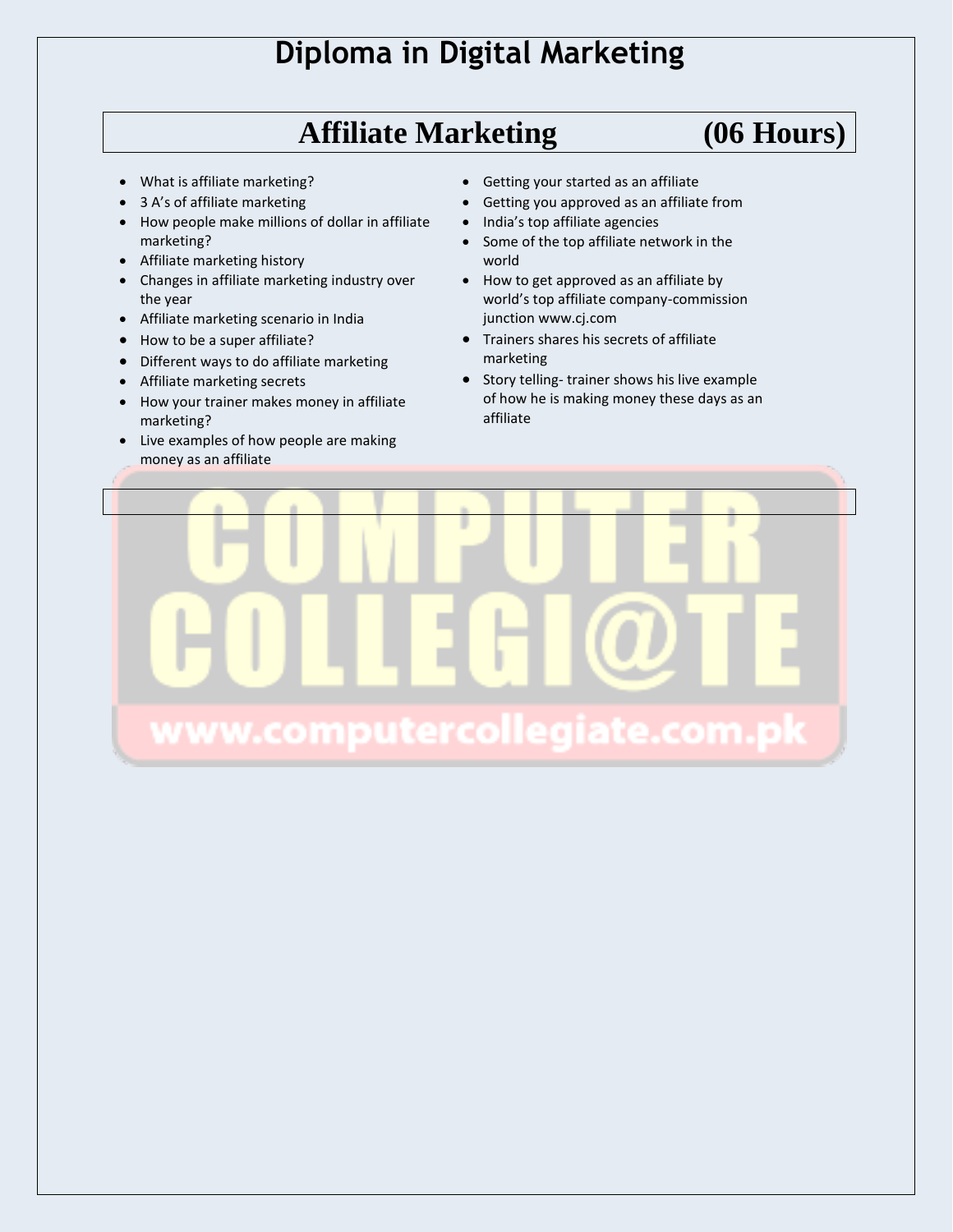# **Affiliate Marketing (06 Hours)**

- What is affiliate marketing?
- 3 A's of affiliate marketing
- How people make millions of dollar in affiliate marketing?
- Affiliate marketing history
- Changes in affiliate marketing industry over the year
- Affiliate marketing scenario in India
- How to be a super affiliate?
- Different ways to do affiliate marketing
- Affiliate marketing secrets
- How your trainer makes money in affiliate marketing?
- Live examples of how people are making money as an affiliate
- Getting your started as an affiliate
- Getting you approved as an affiliate from
- India's top affiliate agencies
- Some of the top affiliate network in the world
- How to get approved as an affiliate by world's top affiliate company-commission junction www.cj.com
- Trainers shares his secrets of affiliate marketing
- Story telling- trainer shows his live example of how he is making money these days as an affiliate

www.computercollegiate.com.pk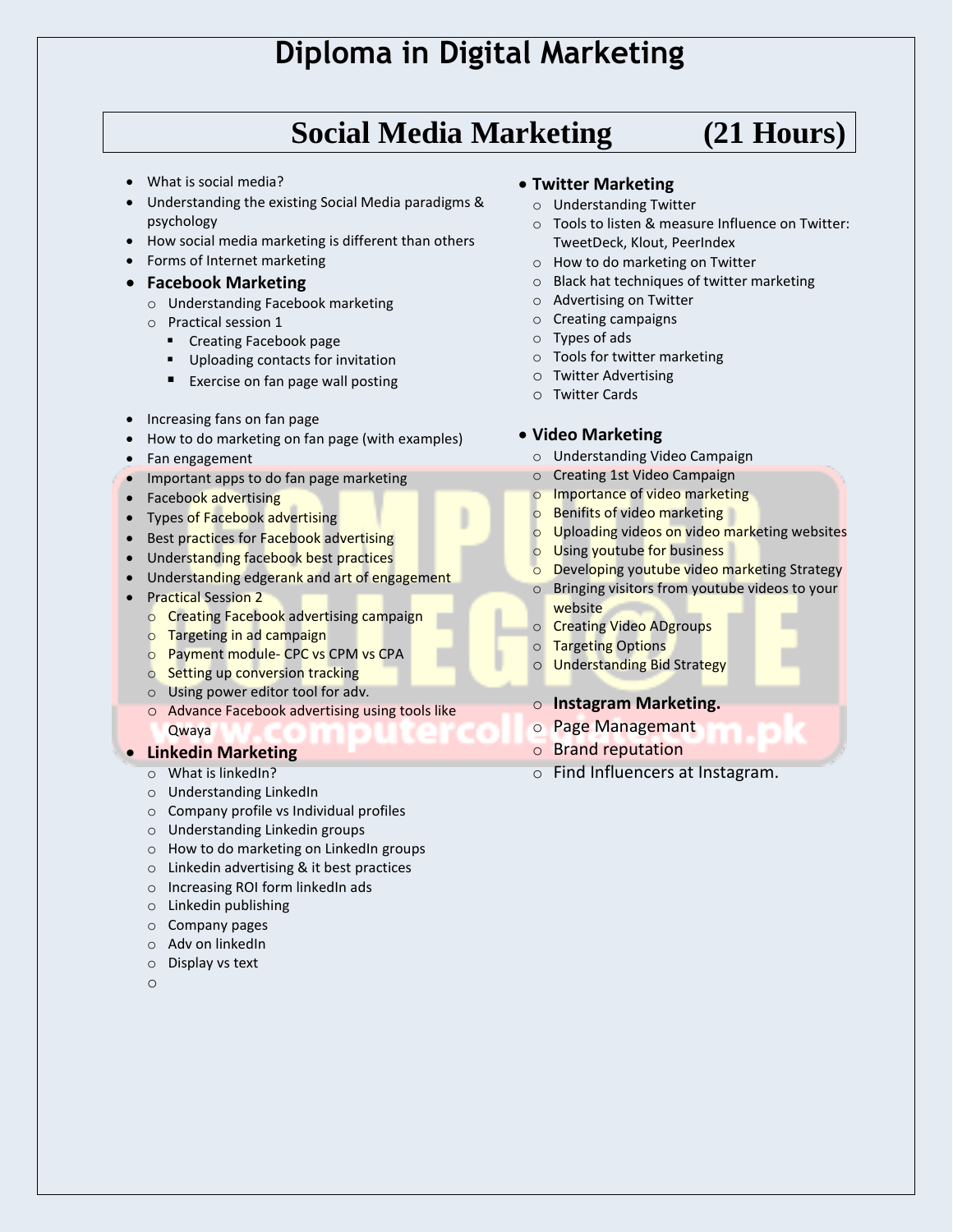# **Social Media Marketing (21 Hours)**

- What is social media?
- Understanding the existing Social Media paradigms & psychology
- How social media marketing is different than others
- Forms of Internet marketing

#### **Facebook Marketing**

- o Understanding Facebook marketing
- o Practical session 1
	- **•** Creating Facebook page
	- Uploading contacts for invitation
	- **Exercise on fan page wall posting**
- Increasing fans on fan page
- How to do marketing on fan page (with examples)
- Fan engagement
- Important apps to do fan page marketing
- Facebook advertising
- Types of Facebook advertising
- Best practices for Facebook advertising
- Understanding facebook best practices
- Understanding edgerank and art of engagement
- Practical Session 2
	- o Creating Facebook advertising campaign
	- o Targeting in ad campaign
	- o Payment module- CPC vs CPM vs CPA
	- o Setting up conversion tracking
	- o Using power editor tool for adv.
	- o Advance Facebook advertising using tools like Qwaya

#### **Linkedin Marketing**

- $\circ$  What is linked In?
- o Understanding LinkedIn
- o Company profile vs Individual profiles
- o Understanding Linkedin groups
- o How to do marketing on LinkedIn groups
- o Linkedin advertising & it best practices
- o Increasing ROI form linkedIn ads
- o Linkedin publishing
- o Company pages
- o Adv on linkedIn
- o Display vs text
- o

#### **Twitter Marketing**

- o Understanding Twitter
- o Tools to listen & measure Influence on Twitter: TweetDeck, Klout, PeerIndex
- o How to do marketing on Twitter
- o Black hat techniques of twitter marketing
- o Advertising on Twitter
- o Creating campaigns
- o Types of ads
- o Tools for twitter marketing
- o Twitter Advertising
- o Twitter Cards

#### **Video Marketing**

- o Understanding Video Campaign
- o Creating 1st Video Campaign
- o Importance of video marketing
- o Benifits of video marketing
- o Uploading videos on video marketing websites
- Using youtube for business
- Developing youtube video marketing Strategy
- o Bringing visitors from youtube videos to your website
- o Creating Video ADgroups
- o Targeting Options
- o Understanding Bid Strategy

#### o **Instagram Marketing.**

- o Page Managemant
- o Brand reputation
- o Find Influencers at Instagram.
-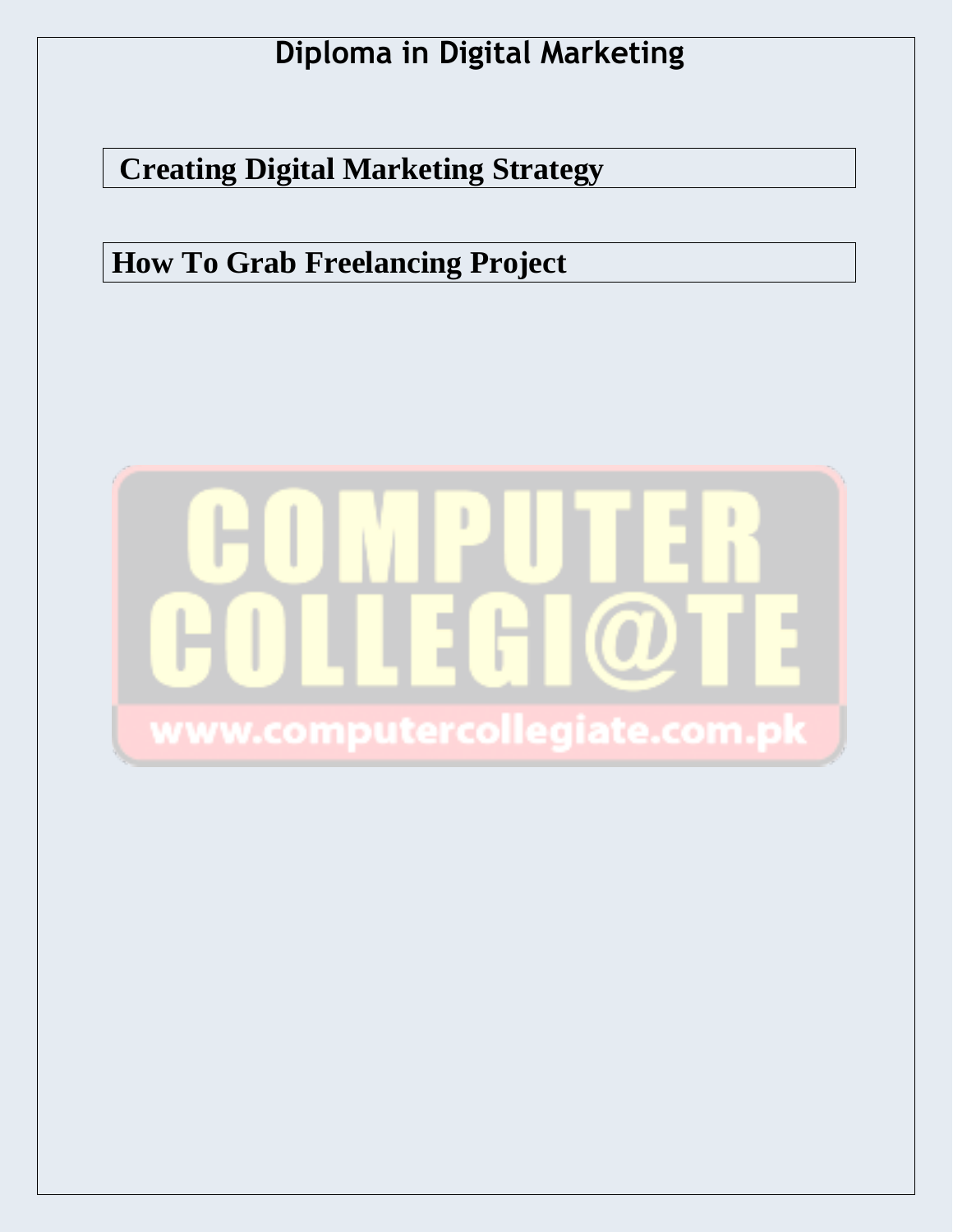**Creating Digital Marketing Strategy**

**How To Grab Freelancing Project**